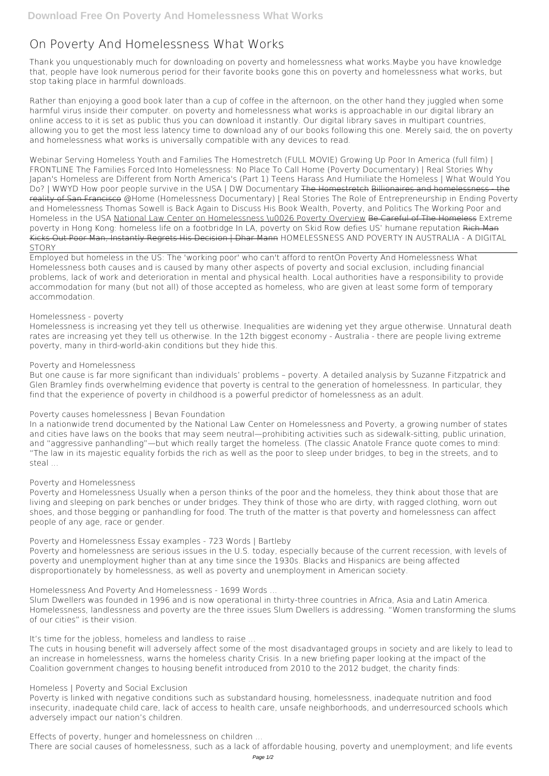# **On Poverty And Homelessness What Works**

Thank you unquestionably much for downloading **on poverty and homelessness what works**.Maybe you have knowledge that, people have look numerous period for their favorite books gone this on poverty and homelessness what works, but stop taking place in harmful downloads.

Rather than enjoying a good book later than a cup of coffee in the afternoon, on the other hand they juggled when some harmful virus inside their computer. **on poverty and homelessness what works** is approachable in our digital library an online access to it is set as public thus you can download it instantly. Our digital library saves in multipart countries, allowing you to get the most less latency time to download any of our books following this one. Merely said, the on poverty and homelessness what works is universally compatible with any devices to read.

Webinar Serving Homeless Youth and Families *The Homestretch (FULL MOVIE) Growing Up Poor In America (full film) | FRONTLINE The Families Forced Into Homelessness: No Place To Call Home (Poverty Documentary) | Real Stories* **Why Japan's Homeless are Different from North America's (Part 1)** Teens Harass And Humiliate the Homeless | What Would You Do? | WWYD *How poor people survive in the USA | DW Documentary* The Homestretch Billionaires and homelessness - the reality of San Francisco *@Home (Homelessness Documentary) | Real Stories The Role of Entrepreneurship in Ending Poverty and Homelessness Thomas Sowell is Back Again to Discuss His Book Wealth, Poverty, and Politics The Working Poor and Homeless in the USA* National Law Center on Homelessness \u0026 Poverty Overview Be Careful of The Homeless Extreme poverty in Hong Kong: homeless life on a footbridge In LA, poverty on Skid Row defies US' humane reputation Rich Man Kicks Out Poor Man, Instantly Regrets His Decision | Dhar Mann *HOMELESSNESS AND POVERTY IN AUSTRALIA - A DIGITAL STORY*

Employed but homeless in the US: The 'working poor' who can't afford to rent*On Poverty And Homelessness What* Homelessness both causes and is caused by many other aspects of poverty and social exclusion, including financial problems, lack of work and deterioration in mental and physical health. Local authorities have a responsibility to provide accommodation for many (but not all) of those accepted as homeless, who are given at least some form of temporary accommodation.

### *Homelessness - poverty*

Homelessness is increasing yet they tell us otherwise. Inequalities are widening yet they argue otherwise. Unnatural death rates are increasing yet they tell us otherwise. In the 12th biggest economy - Australia - there are people living extreme poverty, many in third-world-akin conditions but they hide this.

# *Poverty and Homelessness*

But one cause is far more significant than individuals' problems – poverty. A detailed analysis by Suzanne Fitzpatrick and Glen Bramley finds overwhelming evidence that poverty is central to the generation of homelessness. In particular, they find that the experience of poverty in childhood is a powerful predictor of homelessness as an adult.

# *Poverty causes homelessness | Bevan Foundation*

In a nationwide trend documented by the National Law Center on Homelessness and Poverty, a growing number of states and cities have laws on the books that may seem neutral—prohibiting activities such as sidewalk-sitting, public urination, and "aggressive panhandling"—but which really target the homeless. (The classic Anatole France quote comes to mind: "The law in its majestic equality forbids the rich as well as the poor to sleep under bridges, to beg in the streets, and to steal ...

### *Poverty and Homelessness*

Poverty and Homelessness Usually when a person thinks of the poor and the homeless, they think about those that are living and sleeping on park benches or under bridges. They think of those who are dirty, with ragged clothing, worn out shoes, and those begging or panhandling for food. The truth of the matter is that poverty and homelessness can affect people of any age, race or gender.

# *Poverty and Homelessness Essay examples - 723 Words | Bartleby*

Poverty and homelessness are serious issues in the U.S. today, especially because of the current recession, with levels of poverty and unemployment higher than at any time since the 1930s. Blacks and Hispanics are being affected disproportionately by homelessness, as well as poverty and unemployment in American society.

*Homelessness And Poverty And Homelessness - 1699 Words ...*

Slum Dwellers was founded in 1996 and is now operational in thirty-three countries in Africa, Asia and Latin America. Homelessness, landlessness and poverty are the three issues Slum Dwellers is addressing. "Women transforming the slums of our cities" is their vision.

*It's time for the jobless, homeless and landless to raise ...*

The cuts in housing benefit will adversely affect some of the most disadvantaged groups in society and are likely to lead to an increase in homelessness, warns the homeless charity Crisis. In a new briefing paper looking at the impact of the Coalition government changes to housing benefit introduced from 2010 to the 2012 budget, the charity finds:

*Homeless | Poverty and Social Exclusion*

Poverty is linked with negative conditions such as substandard housing, homelessness, inadequate nutrition and food insecurity, inadequate child care, lack of access to health care, unsafe neighborhoods, and underresourced schools which adversely impact our nation's children.

*Effects of poverty, hunger and homelessness on children ...*

There are social causes of homelessness, such as a lack of affordable housing, poverty and unemployment; and life events